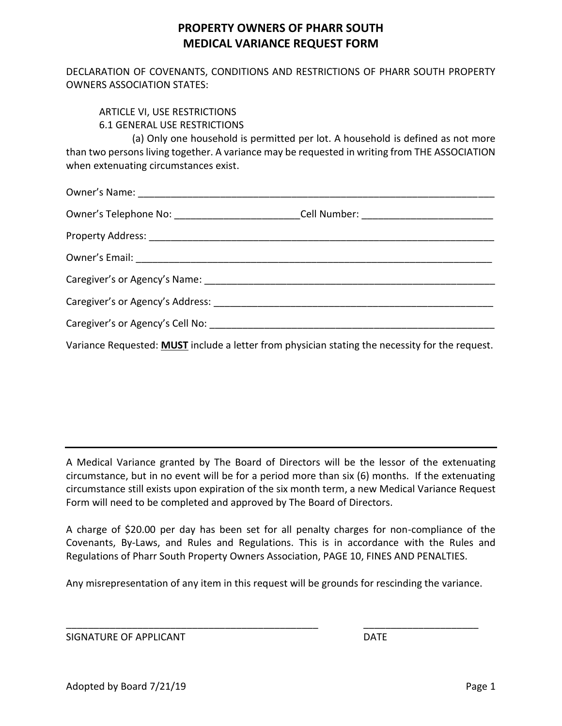## **PROPERTY OWNERS OF PHARR SOUTH MEDICAL VARIANCE REQUEST FORM**

DECLARATION OF COVENANTS, CONDITIONS AND RESTRICTIONS OF PHARR SOUTH PROPERTY OWNERS ASSOCIATION STATES:

## ARTICLE VI, USE RESTRICTIONS 6.1 GENERAL USE RESTRICTIONS

(a) Only one household is permitted per lot. A household is defined as not more than two persons living together. A variance may be requested in writing from THE ASSOCIATION when extenuating circumstances exist.

| Owner's Telephone No: __________________________Cell Number: ____________________                      |  |
|--------------------------------------------------------------------------------------------------------|--|
|                                                                                                        |  |
|                                                                                                        |  |
|                                                                                                        |  |
|                                                                                                        |  |
|                                                                                                        |  |
| Variance Requested: <b>MUST</b> include a letter from physician stating the necessity for the request. |  |

A Medical Variance granted by The Board of Directors will be the lessor of the extenuating circumstance, but in no event will be for a period more than six (6) months. If the extenuating circumstance still exists upon expiration of the six month term, a new Medical Variance Request Form will need to be completed and approved by The Board of Directors.

A charge of \$20.00 per day has been set for all penalty charges for non-compliance of the Covenants, By-Laws, and Rules and Regulations. This is in accordance with the Rules and Regulations of Pharr South Property Owners Association, PAGE 10, FINES AND PENALTIES.

Any misrepresentation of any item in this request will be grounds for rescinding the variance.

\_\_\_\_\_\_\_\_\_\_\_\_\_\_\_\_\_\_\_\_\_\_\_\_\_\_\_\_\_\_\_\_\_\_\_\_\_\_\_\_\_\_\_\_\_\_ \_\_\_\_\_\_\_\_\_\_\_\_\_\_\_\_\_\_\_\_\_

SIGNATURE OF APPLICANT **EXECUTE A SIGNATURE OF APPLICANT**